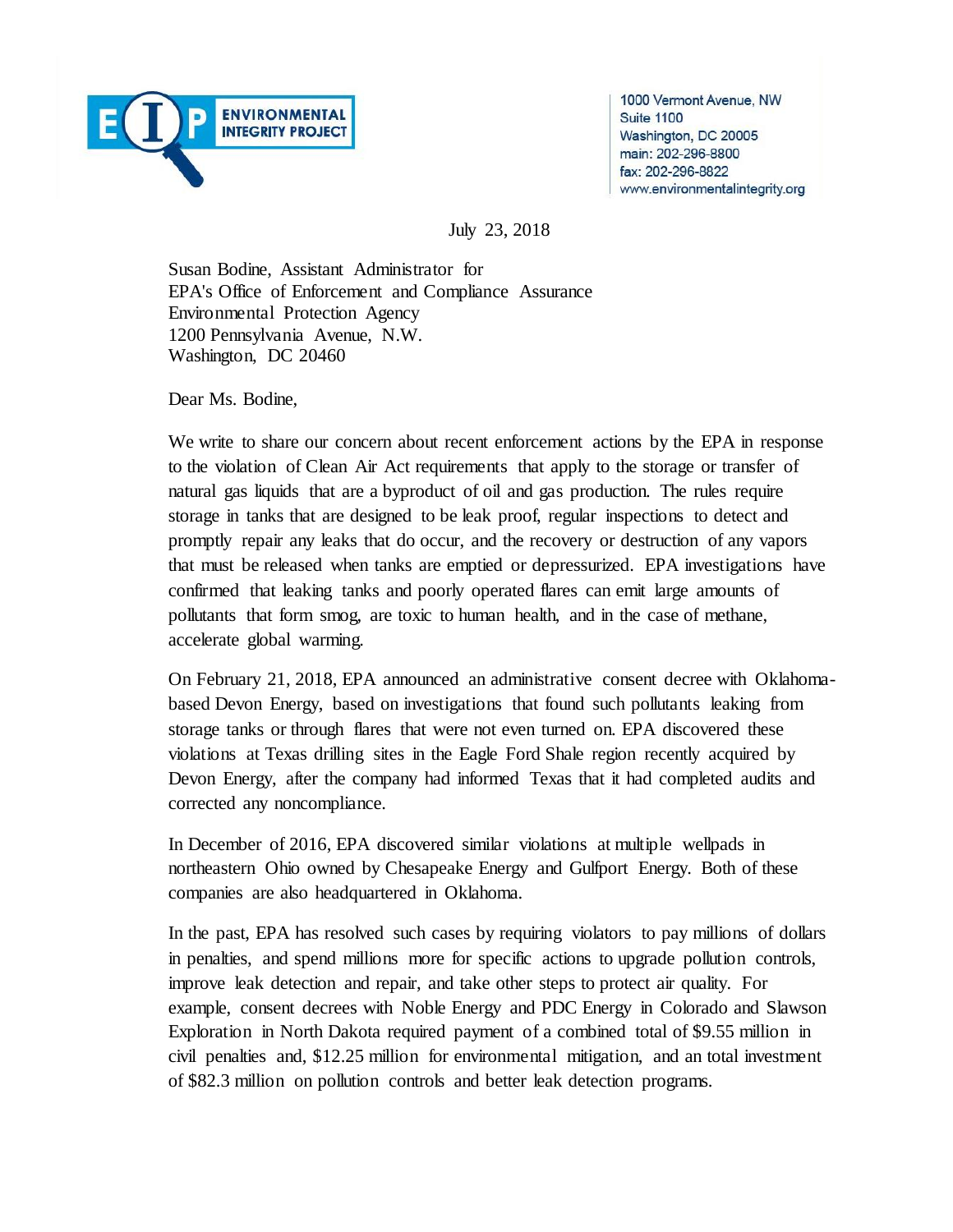

1000 Vermont Avenue, NW **Suite 1100** Washington, DC 20005 main: 202-296-8800 fax: 202-296-8822 www.environmentalintegrity.org

July 23, 2018

Susan Bodine, Assistant Administrator for EPA's Office of Enforcement and Compliance Assurance Environmental Protection Agency 1200 Pennsylvania Avenue, N.W. Washington, DC 20460

Dear Ms. Bodine,

We write to share our concern about recent enforcement actions by the EPA in response to the violation of Clean Air Act requirements that apply to the storage or transfer of natural gas liquids that are a byproduct of oil and gas production. The rules require storage in tanks that are designed to be leak proof, regular inspections to detect and promptly repair any leaks that do occur, and the recovery or destruction of any vapors that must be released when tanks are emptied or depressurized. EPA investigations have confirmed that leaking tanks and poorly operated flares can emit large amounts of pollutants that form smog, are toxic to human health, and in the case of methane, accelerate global warming.

On February 21, 2018, EPA announced an administrative consent decree with Oklahomabased Devon Energy, based on investigations that found such pollutants leaking from storage tanks or through flares that were not even turned on. EPA discovered these violations at Texas drilling sites in the Eagle Ford Shale region recently acquired by Devon Energy, after the company had informed Texas that it had completed audits and corrected any noncompliance.

In December of 2016, EPA discovered similar violations at multiple wellpads in northeastern Ohio owned by Chesapeake Energy and Gulfport Energy. Both of these companies are also headquartered in Oklahoma.

In the past, EPA has resolved such cases by requiring violators to pay millions of dollars in penalties, and spend millions more for specific actions to upgrade pollution controls, improve leak detection and repair, and take other steps to protect air quality. For example, consent decrees with Noble Energy and PDC Energy in Colorado and Slawson Exploration in North Dakota required payment of a combined total of \$9.55 million in civil penalties and, \$12.25 million for environmental mitigation, and an total investment of \$82.3 million on pollution controls and better leak detection programs.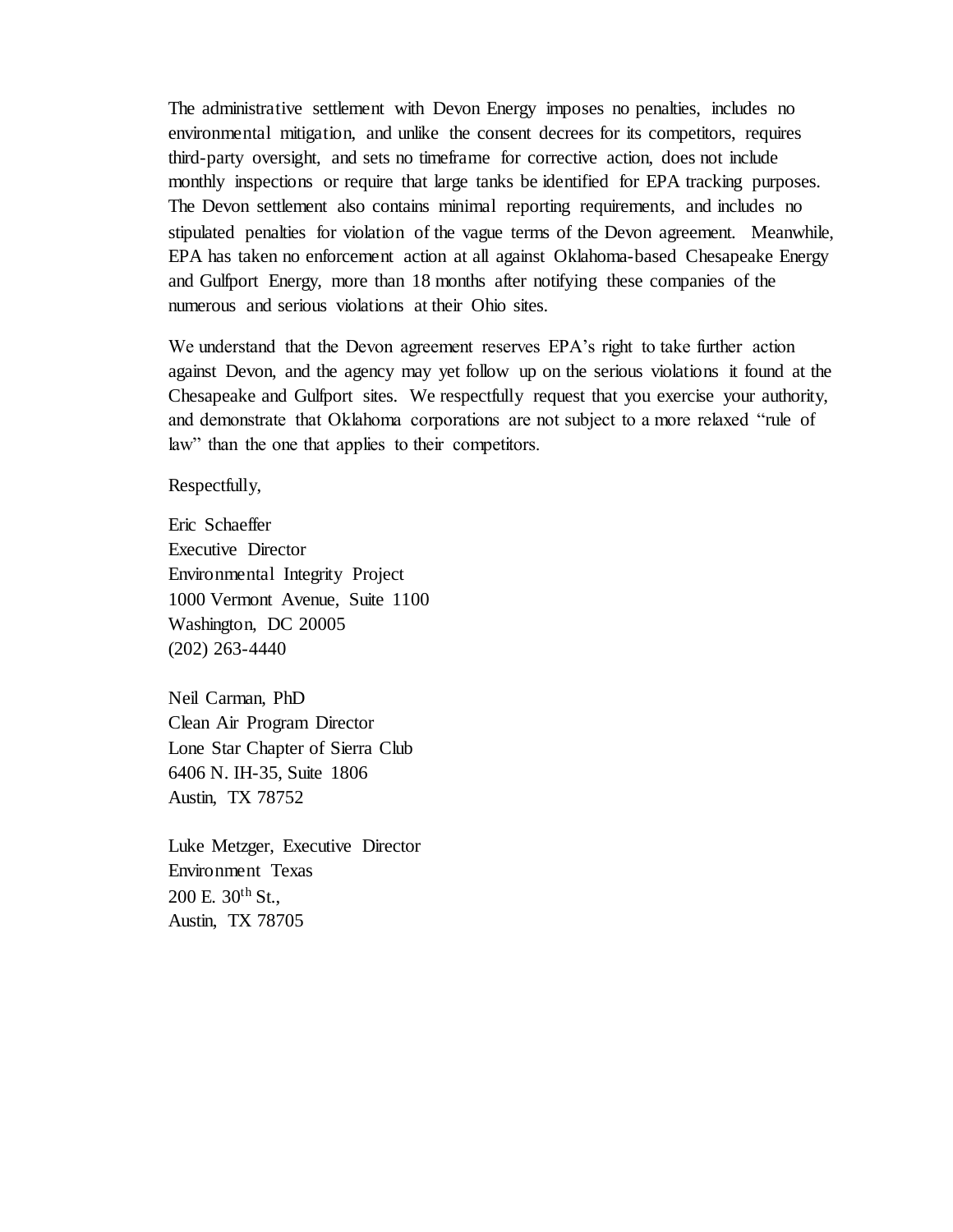The administrative settlement with Devon Energy imposes no penalties, includes no environmental mitigation, and unlike the consent decrees for its competitors, requires third-party oversight, and sets no timeframe for corrective action, does not include monthly inspections or require that large tanks be identified for EPA tracking purposes. The Devon settlement also contains minimal reporting requirements, and includes no stipulated penalties for violation of the vague terms of the Devon agreement. Meanwhile, EPA has taken no enforcement action at all against Oklahoma-based Chesapeake Energy and Gulfport Energy, more than 18 months after notifying these companies of the numerous and serious violations at their Ohio sites.

We understand that the Devon agreement reserves EPA's right to take further action against Devon, and the agency may yet follow up on the serious violations it found at the Chesapeake and Gulfport sites. We respectfully request that you exercise your authority, and demonstrate that Oklahoma corporations are not subject to a more relaxed "rule of law" than the one that applies to their competitors.

Respectfully,

Eric Schaeffer Executive Director Environmental Integrity Project 1000 Vermont Avenue, Suite 1100 Washington, DC 20005 (202) 263-4440

Neil Carman, PhD Clean Air Program Director Lone Star Chapter of Sierra Club 6406 N. IH-35, Suite 1806 Austin, TX 78752

Luke Metzger, Executive Director Environment Texas 200 E. 30th St., Austin, TX 78705